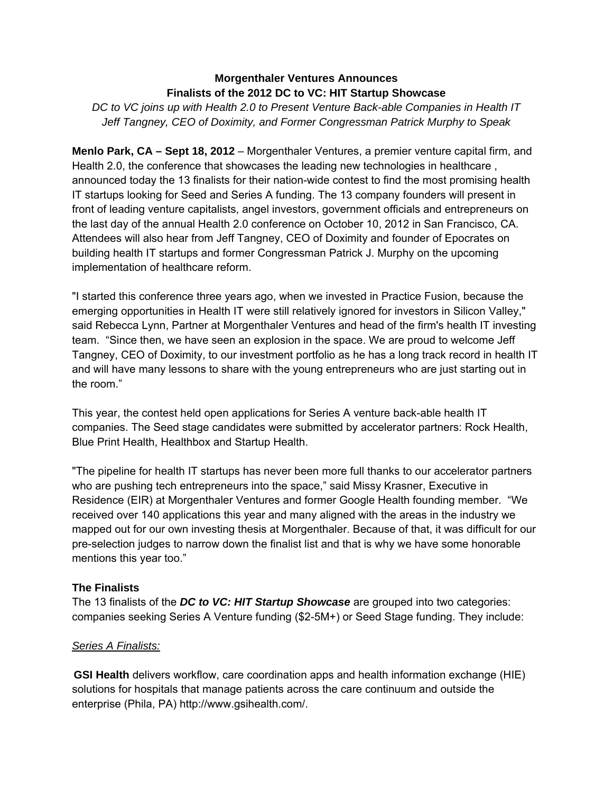## **Morgenthaler Ventures Announces Finalists of the 2012 DC to VC: HIT Startup Showcase**

*DC to VC joins up with Health 2.0 to Present Venture Back-able Companies in Health IT Jeff Tangney, CEO of Doximity, and Former Congressman Patrick Murphy to Speak* 

**Menlo Park, CA – Sept 18, 2012** – Morgenthaler Ventures, a premier venture capital firm, and Health 2.0, the conference that showcases the leading new technologies in healthcare , announced today the 13 finalists for their nation-wide contest to find the most promising health IT startups looking for Seed and Series A funding. The 13 company founders will present in front of leading venture capitalists, angel investors, government officials and entrepreneurs on the last day of the annual Health 2.0 conference on October 10, 2012 in San Francisco, CA. Attendees will also hear from Jeff Tangney, CEO of Doximity and founder of Epocrates on building health IT startups and former Congressman Patrick J. Murphy on the upcoming implementation of healthcare reform.

"I started this conference three years ago, when we invested in Practice Fusion, because the emerging opportunities in Health IT were still relatively ignored for investors in Silicon Valley," said Rebecca Lynn, Partner at Morgenthaler Ventures and head of the firm's health IT investing team. "Since then, we have seen an explosion in the space. We are proud to welcome Jeff Tangney, CEO of Doximity, to our investment portfolio as he has a long track record in health IT and will have many lessons to share with the young entrepreneurs who are just starting out in the room."

This year, the contest held open applications for Series A venture back-able health IT companies. The Seed stage candidates were submitted by accelerator partners: Rock Health, Blue Print Health, Healthbox and Startup Health.

"The pipeline for health IT startups has never been more full thanks to our accelerator partners who are pushing tech entrepreneurs into the space," said Missy Krasner, Executive in Residence (EIR) at Morgenthaler Ventures and former Google Health founding member. "We received over 140 applications this year and many aligned with the areas in the industry we mapped out for our own investing thesis at Morgenthaler. Because of that, it was difficult for our pre-selection judges to narrow down the finalist list and that is why we have some honorable mentions this year too."

# **The Finalists**

The 13 finalists of the *DC to VC: HIT Startup Showcase* are grouped into two categories: companies seeking Series A Venture funding (\$2-5M+) or Seed Stage funding. They include:

# *Series A Finalists:*

**GSI Health** delivers workflow, care coordination apps and health information exchange (HIE) solutions for hospitals that manage patients across the care continuum and outside the enterprise (Phila, PA) http://www.gsihealth.com/.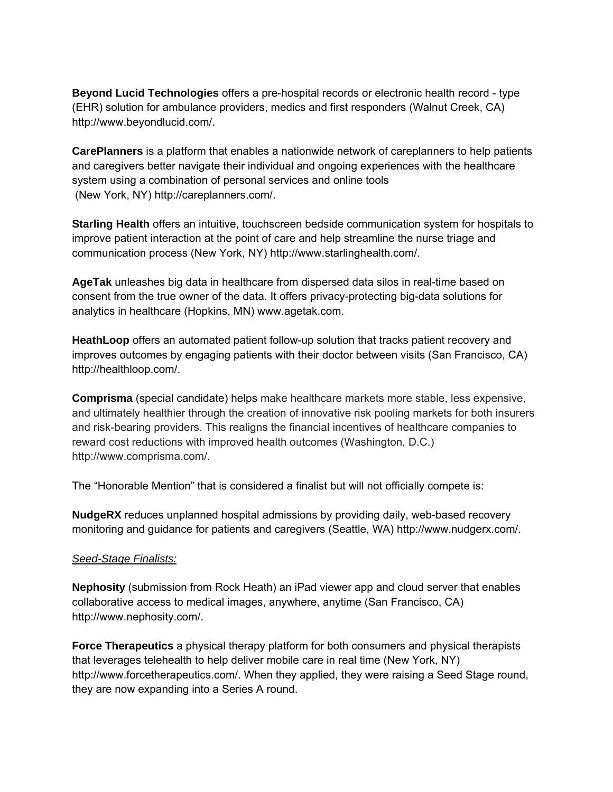**Beyond Lucid Technologies** offers a pre-hospital records or electronic health record - type (EHR) solution for ambulance providers, medics and first responders (Walnut Creek, CA) http://www.beyondlucid.com/.

**CarePlanners** is a platform that enables a nationwide network of careplanners to help patients and caregivers better navigate their individual and ongoing experiences with the healthcare system using a combination of personal services and online tools (New York, NY) http://careplanners.com/.

**Starling Health** offers an intuitive, touchscreen bedside communication system for hospitals to improve patient interaction at the point of care and help streamline the nurse triage and communication process (New York, NY) http://www.starlinghealth.com/.

**AgeTak** unleashes big data in healthcare from dispersed data silos in real-time based on consent from the true owner of the data. It offers privacy-protecting big-data solutions for analytics in healthcare (Hopkins, MN) www.agetak.com.

**HeathLoop** offers an automated patient follow-up solution that tracks patient recovery and improves outcomes by engaging patients with their doctor between visits (San Francisco, CA) http://healthloop.com/.

**Comprisma** (special candidate) helps make healthcare markets more stable, less expensive, and ultimately healthier through the creation of innovative risk pooling markets for both insurers and risk-bearing providers. This realigns the financial incentives of healthcare companies to reward cost reductions with improved health outcomes (Washington, D.C.) http://www.comprisma.com/.

The "Honorable Mention" that is considered a finalist but will not officially compete is:

**NudgeRX** reduces unplanned hospital admissions by providing daily, web-based recovery monitoring and guidance for patients and caregivers (Seattle, WA) http://www.nudgerx.com/.

# *Seed-Stage Finalists:*

**Nephosity** (submission from Rock Heath) an iPad viewer app and cloud server that enables collaborative access to medical images, anywhere, anytime (San Francisco, CA) http://www.nephosity.com/.

**Force Therapeutics** a physical therapy platform for both consumers and physical therapists that leverages telehealth to help deliver mobile care in real time (New York, NY) http://www.forcetherapeutics.com/. When they applied, they were raising a Seed Stage round, they are now expanding into a Series A round.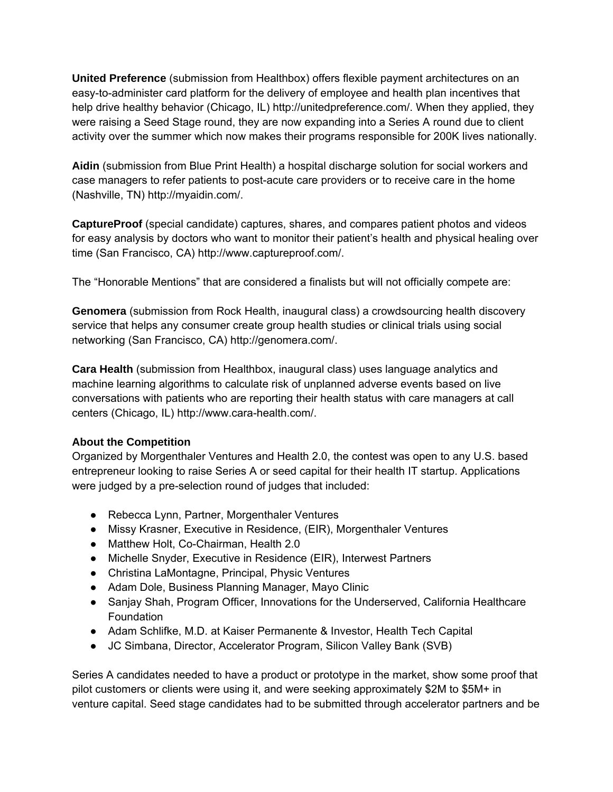**United Preference** (submission from Healthbox) offers flexible payment architectures on an easy-to-administer card platform for the delivery of employee and health plan incentives that help drive healthy behavior (Chicago, IL) http://unitedpreference.com/. When they applied, they were raising a Seed Stage round, they are now expanding into a Series A round due to client activity over the summer which now makes their programs responsible for 200K lives nationally.

**Aidin** (submission from Blue Print Health) a hospital discharge solution for social workers and case managers to refer patients to post-acute care providers or to receive care in the home (Nashville, TN) http://myaidin.com/.

**CaptureProof** (special candidate) captures, shares, and compares patient photos and videos for easy analysis by doctors who want to monitor their patient's health and physical healing over time (San Francisco, CA) http://www.captureproof.com/.

The "Honorable Mentions" that are considered a finalists but will not officially compete are:

**Genomera** (submission from Rock Health, inaugural class) a crowdsourcing health discovery service that helps any consumer create group health studies or clinical trials using social networking (San Francisco, CA) http://genomera.com/.

**Cara Health** (submission from Healthbox, inaugural class) uses language analytics and machine learning algorithms to calculate risk of unplanned adverse events based on live conversations with patients who are reporting their health status with care managers at call centers (Chicago, IL) http://www.cara-health.com/.

### **About the Competition**

Organized by Morgenthaler Ventures and Health 2.0, the contest was open to any U.S. based entrepreneur looking to raise Series A or seed capital for their health IT startup. Applications were judged by a pre-selection round of judges that included:

- Rebecca Lynn, Partner, Morgenthaler Ventures
- Missy Krasner, Executive in Residence, (EIR), Morgenthaler Ventures
- Matthew Holt, Co-Chairman, Health 2.0
- Michelle Snyder, Executive in Residence (EIR), Interwest Partners
- Christina LaMontagne, Principal, Physic Ventures
- Adam Dole, Business Planning Manager, Mayo Clinic
- Sanjay Shah, Program Officer, Innovations for the Underserved, California Healthcare Foundation
- Adam Schlifke, M.D. at Kaiser Permanente & Investor, Health Tech Capital
- JC Simbana, Director, Accelerator Program, Silicon Valley Bank (SVB)

Series A candidates needed to have a product or prototype in the market, show some proof that pilot customers or clients were using it, and were seeking approximately \$2M to \$5M+ in venture capital. Seed stage candidates had to be submitted through accelerator partners and be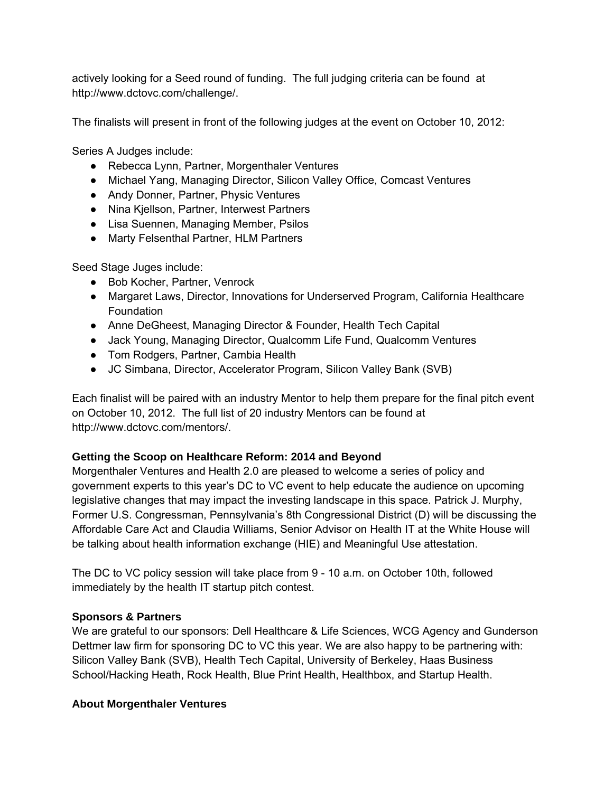actively looking for a Seed round of funding. The full judging criteria can be found at http://www.dctovc.com/challenge/.

The finalists will present in front of the following judges at the event on October 10, 2012:

Series A Judges include:

- Rebecca Lynn, Partner, Morgenthaler Ventures
- Michael Yang, Managing Director, Silicon Valley Office, Comcast Ventures
- Andy Donner, Partner, Physic Ventures
- Nina Kjellson, Partner, Interwest Partners
- Lisa Suennen, Managing Member, Psilos
- Marty Felsenthal Partner, HLM Partners

Seed Stage Juges include:

- Bob Kocher, Partner, Venrock
- Margaret Laws, Director, Innovations for Underserved Program, California Healthcare Foundation
- Anne DeGheest, Managing Director & Founder, Health Tech Capital
- Jack Young, Managing Director, Qualcomm Life Fund, Qualcomm Ventures
- Tom Rodgers, Partner, Cambia Health
- JC Simbana, Director, Accelerator Program, Silicon Valley Bank (SVB)

Each finalist will be paired with an industry Mentor to help them prepare for the final pitch event on October 10, 2012. The full list of 20 industry Mentors can be found at http://www.dctovc.com/mentors/.

# **Getting the Scoop on Healthcare Reform: 2014 and Beyond**

Morgenthaler Ventures and Health 2.0 are pleased to welcome a series of policy and government experts to this year's DC to VC event to help educate the audience on upcoming legislative changes that may impact the investing landscape in this space. Patrick J. Murphy, Former U.S. Congressman, Pennsylvania's 8th Congressional District (D) will be discussing the Affordable Care Act and Claudia Williams, Senior Advisor on Health IT at the White House will be talking about health information exchange (HIE) and Meaningful Use attestation.

The DC to VC policy session will take place from 9 - 10 a.m. on October 10th, followed immediately by the health IT startup pitch contest.

# **Sponsors & Partners**

We are grateful to our sponsors: Dell Healthcare & Life Sciences, WCG Agency and Gunderson Dettmer law firm for sponsoring DC to VC this year. We are also happy to be partnering with: Silicon Valley Bank (SVB), Health Tech Capital, University of Berkeley, Haas Business School/Hacking Heath, Rock Health, Blue Print Health, Healthbox, and Startup Health.

### **About Morgenthaler Ventures**